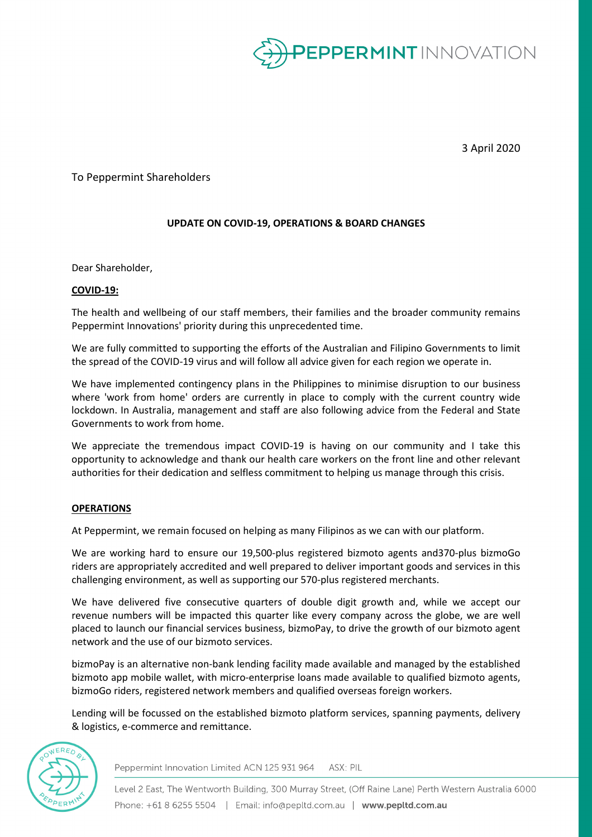

3 April 2020

To Peppermint Shareholders

## **UPDATE ON COVID-19, OPERATIONS & BOARD CHANGES**

Dear Shareholder,

## **COVID-19:**

The health and wellbeing of our staff members, their families and the broader community remains Peppermint Innovations' priority during this unprecedented time.

We are fully committed to supporting the efforts of the Australian and Filipino Governments to limit the spread of the COVID-19 virus and will follow all advice given for each region we operate in.

We have implemented contingency plans in the Philippines to minimise disruption to our business where 'work from home' orders are currently in place to comply with the current country wide lockdown. In Australia, management and staff are also following advice from the Federal and State Governments to work from home.

We appreciate the tremendous impact COVID-19 is having on our community and I take this opportunity to acknowledge and thank our health care workers on the front line and other relevant authorities for their dedication and selfless commitment to helping us manage through this crisis.

## **OPERATIONS**

At Peppermint, we remain focused on helping as many Filipinos as we can with our platform.

We are working hard to ensure our 19,500-plus registered bizmoto agents and370-plus bizmoGo riders are appropriately accredited and well prepared to deliver important goods and services in this challenging environment, as well as supporting our 570-plus registered merchants.

We have delivered five consecutive quarters of double digit growth and, while we accept our revenue numbers will be impacted this quarter like every company across the globe, we are well placed to launch our financial services business, bizmoPay, to drive the growth of our bizmoto agent network and the use of our bizmoto services.

bizmoPay is an alternative non-bank lending facility made available and managed by the established bizmoto app mobile wallet, with micro-enterprise loans made available to qualified bizmoto agents, bizmoGo riders, registered network members and qualified overseas foreign workers.

Lending will be focussed on the established bizmoto platform services, spanning payments, delivery & logistics, e-commerce and remittance.



Peppermint Innovation Limited ACN 125 931 964 ASX: PIL

Level 2 East, The Wentworth Building, 300 Murray Street, (Off Raine Lane) Perth Western Australia 6000 Phone: +61 8 6255 5504 | Email: info@pepltd.com.au | www.pepltd.com.au